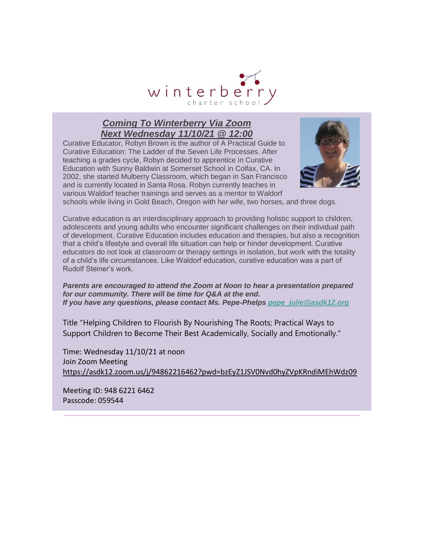

#### *Coming To Winterberry Via Zoom Next Wednesday 11/10/21 @ 12:00*

Curative Educator, Robyn Brown is the author of A Practical Guide to Curative Education: The Ladder of the Seven Life Processes. After teaching a grades cycle, Robyn decided to apprentice in Curative Education with Sunny Baldwin at Somerset School in Colfax, CA. In 2002, she started Mulberry Classroom, which began in San Francisco and is currently located in Santa Rosa. Robyn currently teaches in various Waldorf teacher trainings and serves as a mentor to Waldorf



schools while living in Gold Beach, Oregon with her wife, two horses, and three dogs.

Curative education is an interdisciplinary approach to providing holistic support to children, adolescents and young adults who encounter significant challenges on their individual path of development. Curative Education includes education and therapies, but also a recognition that a child's lifestyle and overall life situation can help or hinder development. Curative educators do not look at classroom or therapy settings in isolation, but work with the totality of a child's life circumstances. Like Waldorf education, curative education was a part of Rudolf Steiner's work.

*Parents are encouraged to attend the Zoom at Noon to hear a presentation prepared for our community. There will be time for Q&A at the end. If you have any questions, please contact Ms. Pepe-Phelps [pepe\\_julie@asdk12.org](mailto:pepe_julie@asdk12.org)*

Title "Helping Children to Flourish By Nourishing The Roots; Practical Ways to Support Children to Become Their Best Academically, Socially and Emotionally."

Time: Wednesday 11/10/21 at noon Join Zoom Meeting [https://asdk12.zoom.us/j/94862216462?pwd=bzEyZ1JSV0Nvd0hyZVpKRndiMEhWdz09](https://nam12.safelinks.protection.outlook.com/?url=https%3A%2F%2Fr20.rs6.net%2Ftn.jsp%3Ff%3D001rZWiOZyV1k2Z7SOfT3yncyqQS5Ag6EJ-XVHCniuMM5Veu8cgcmsfKz82uJFbvhZZwdI3trIRM6Db8WN-P_9A5wYH2jXm4KJLHgUsgZhZU4DEUNgJhOroBkIUj0sQugecP8ttYt1aU3rlB517zJW95diyCVJttn_y8XYuzptFiexRuCC7a9GWWsK2CPtrhRri8qBgIn2v14PdG-r0XCZ7o3WCUIrKKDxiXpK8X2-dsiLIjUdxrdF8LHy28u7fG5g04Z7uozb5CfvSPPJjgHkTw2IfRdTQwqZawdQFImCi_2wGQxlXGhAgJuWCaw-IRpqbTbdXyk8-Nw7SYhgyaNpakc6geAEFiq2th4AhQ0SWj9FZdwIXTvUJ5W-5BDfAcDfSyKzKgw16sITH-slqSoDlFuSNkP6ZUN61kqBwz8vNpLkRDxsoVOHUeE62Y7rEQq8db4e3vyzuRwP0VyGnJFRzPIfaznPEvMNIzWMm5uOKKBPuR7VCfsk6NyDPtWahvDpl7ZNf4Iru3In34rvWQglYBv2cOEIelK9hP4BOFSRAam8KTMqO_X6K-xUdtenkJ2NYZTrqww8ukZpt-idyQ7VK-LkTOaWSD9ZxM-0C0mNu4qpUX-6uDrodJsOjVIhjOqRWBXCvJii9yPMmoG6jvLo1csYs78R1E-eTvLBHuhTmZRw1mzNEmcSPHuEIfe1D6cTcvLbJNZPxNR5-8if5t26WjjtQuvJcun85H9POWT7Oyd7gEAhyKshkqgENHvqzLnOc3gLsH2x0s76DYsqlrPGAiQ%3D%3D%26c%3DwoxJzJpEjbuk5HvWHhVds_0OkLT8xF5Aww1LTxmTO7bHFdUhLJwM_Q%3D%3D%26ch%3DzkOtAZ_xe2ygZWfSMnnfAwcautDk0OGyg9rUBZi34dDcm0avGD04_w%3D%3D&data=04%7C01%7Cgarrels_shana%40asdk12.org%7C54e871583c9d45244eb708d99fd68a0b%7C036ce601e95a4e46a3bd6b742ed4bb35%7C0%7C0%7C637716566079118287%7CUnknown%7CTWFpbGZsb3d8eyJWIjoiMC4wLjAwMDAiLCJQIjoiV2luMzIiLCJBTiI6Ik1haWwiLCJXVCI6Mn0%3D%7C1000&sdata=zdfZPlCJWXspGCmxO354Ap0s70mPtPGNQB2BIolbppU%3D&reserved=0)

Meeting ID: 948 6221 6462 Passcode: 059544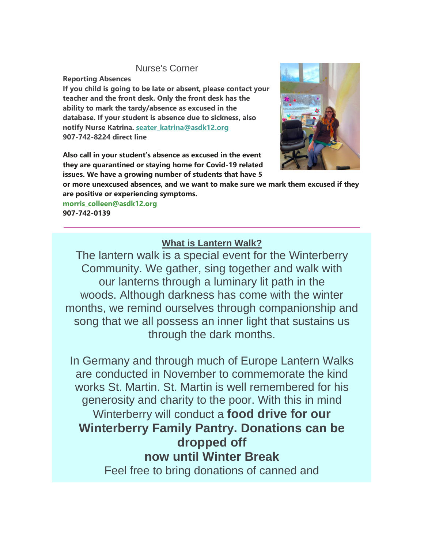#### Nurse's Corner

**Reporting Absences**

**If you child is going to be late or absent, please contact your teacher and the front desk. Only the front desk has the ability to mark the tardy/absence as excused in the database. If your student is absence due to sickness, also notify Nurse Katrina. [seater\\_katrina@asdk12.org](mailto:seater_katrina@asdk12.org) 907-742-8224 direct line**

**Also call in your student's absence as excused in the event they are quarantined or staying home for Covid-19 related issues. We have a growing number of students that have 5** 



**or more unexcused absences, and we want to make sure we mark them excused if they are positive or experiencing symptoms.**

**[morris\\_colleen@asdk12.org](mailto:morris_colleen@asdk12.org) 907-742-0139**

### **What is Lantern Walk?**

The lantern walk is a special event for the Winterberry Community. We gather, sing together and walk with our lanterns through a luminary lit path in the woods. Although darkness has come with the winter months, we remind ourselves through companionship and song that we all possess an inner light that sustains us through the dark months.

In Germany and through much of Europe Lantern Walks are conducted in November to commemorate the kind works St. Martin. St. Martin is well remembered for his generosity and charity to the poor. With this in mind Winterberry will conduct a **food drive for our Winterberry Family Pantry. Donations can be dropped off now until Winter Break** Feel free to bring donations of canned and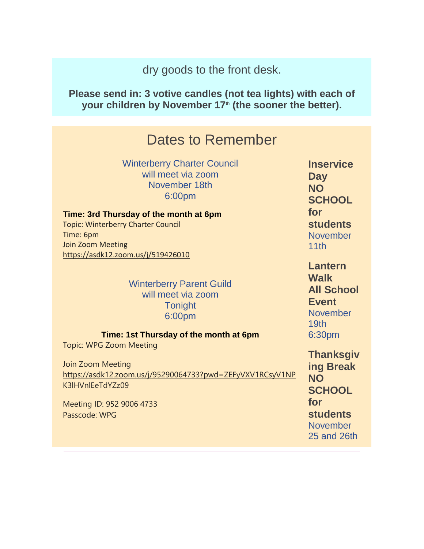dry goods to the front desk.

**Please send in: 3 votive candles (not tea lights) with each of your children by November 17th (the sooner the better).**

## Dates to Remember

Winterberry Charter Council will meet via zoom November 18th 6:00pm

**Time: 3rd Thursday of the month at 6pm** Topic: Winterberry Charter Council Time: 6pm Join Zoom Meeting [https://asdk12.zoom.us/j/519426010](https://nam12.safelinks.protection.outlook.com/?url=https%3A%2F%2Fr20.rs6.net%2Ftn.jsp%3Ff%3D001rZWiOZyV1k2Z7SOfT3yncyqQS5Ag6EJ-XVHCniuMM5Veu8cgcmsfK9Xt9twHhzKpMBfQNZEixwMhKq1nCtnrdRBkM89k6lz820llupWYMbzAFPFOk8m7yhD_-iHq-uaLq2BOeF6P5T5UHrUoGVBp3Zxx1ERWWPnDmystEuZ48ubnm6NPPHzXO-Hc9ExSo4Nw5GfRXuHX-2dNie986x0QPJ5Imx3axJxD-S1X2jK2nbWIvJI-GcmlY1L_zFPBkCUh02VhI51r2tl6A6dk7rDhRg8RA_eeAtGpN01CZgYtEUe6PaT5tOO6kvPkLpQAGF-7b7OQQ8C0bv8RWpdTMHPnH3o-sFtQg87S58XTwfAoZcIwzQpAWlr7fPYjTVUmHx8ZbUUMO6eOA7xQ9uToPYDvtHSMlWrqeAFMAScAIX1JTl45Qq1P81sKBXDDcurKubZw-WzS0yxxnmpcl-jFI60JLBDG6nlOyPCa47QF0Q6Flsp88wxO3wgvsY3bLxfAuF-BZ8hFxisNJA_jkLMv3nFhdYzlxaXtivN0GPEDoB5t2-wYukZ2F0pmwS2hvi_LQLb2s9DBtaOaFLHOsgix8JkDGB0aXraYb7KYTeg1_MWIn6POEaDURJCmvWjzZoeurH-rBoA3ASSIeQIpbXTjdoBCrHUz_n0ni5pdcxfpXTN3eesg5Efj6iNlXh9Gsr00pU8r6YUiTrTiITLNCYP-kI2aAA%3D%3D%26c%3DwoxJzJpEjbuk5HvWHhVds_0OkLT8xF5Aww1LTxmTO7bHFdUhLJwM_Q%3D%3D%26ch%3DzkOtAZ_xe2ygZWfSMnnfAwcautDk0OGyg9rUBZi34dDcm0avGD04_w%3D%3D&data=04%7C01%7Cgarrels_shana%40asdk12.org%7C54e871583c9d45244eb708d99fd68a0b%7C036ce601e95a4e46a3bd6b742ed4bb35%7C0%7C0%7C637716566079123257%7CUnknown%7CTWFpbGZsb3d8eyJWIjoiMC4wLjAwMDAiLCJQIjoiV2luMzIiLCJBTiI6Ik1haWwiLCJXVCI6Mn0%3D%7C1000&sdata=ZBRbN2wPpduFQHbX0s4SnIUQQbarEMBxcj5p7UPsmS8%3D&reserved=0)

> Winterberry Parent Guild will meet via zoom **Tonight** 6:00pm

**Time: 1st Thursday of the month at 6pm**

Topic: WPG Zoom Meeting

Join Zoom Meeting [https://asdk12.zoom.us/j/95290064733?pwd=ZEFyVXV1RCsyV1NP](https://nam12.safelinks.protection.outlook.com/?url=https%3A%2F%2Fr20.rs6.net%2Ftn.jsp%3Ff%3D001rZWiOZyV1k2Z7SOfT3yncyqQS5Ag6EJ-XVHCniuMM5Veu8cgcmsfK9Xt9twHhzKpN9zZ_K02wtfz_tfpGxcuPHXPJWImW1Z1NHfg41GPtPGnFfASX2Mtstc8N2cfG-_zcoppUtQHPS8MUB6tXixfjnWgpuRexsG8u9MbLB5oN0WgxvqrWPmGKAfVyeskOi0p-AsDrerpd67GMYrpx-_NG_l5TAQnBdJpQ6eMTgVRTyhsGlot0lSHLbOGMBCx3KFJGx6KDJ_GHBgbFEJOJCgR3gmJ98sRTtQLwtJtLmU7v8LJpKtchjOH6p-v_61QLdEx6JaLKy08wtYe-T0jx8Au9VY8tqcaEOytoCx4snQOSkilb2oNKC5OpsrRoJP3WFe7H9erIocGswHn2S43GN1ZzQFlyffrNaEnryN5Ge72-piubGPexFzS6sP0jH7FNGldTJx0KcA1VttH73i5vSZmpUkWGzTq8-03w-ZUyGyzbJ0smVnkKpZCvU4i-MLiqMBP0WsRjKPJh8lDNq8_802-ZpmICptmLyEXYPKOeMSz0STVpEvtAzBwfXSbZP20VaLn2oV1c5SwLZPVlHutEAokOn8PFt6Ya2Em_fM2mkmMYY_8SOWbgAjrtNUIAcu-KwLFsk2G9PW6Xl4CmWo7ERCzHiqFKnfW1s5-W2Am5A2fAP9Aws5lrKA17gST1UyFemkEtfxuy3Rr98xX6CewnBtyDwTfXkz7Awq9jiJQFeBicoWqOyPva78fHox5wdhLj_eQ-yzL0NTt7wXucXLr7bgg8Q%3D%3D%26c%3DwoxJzJpEjbuk5HvWHhVds_0OkLT8xF5Aww1LTxmTO7bHFdUhLJwM_Q%3D%3D%26ch%3DzkOtAZ_xe2ygZWfSMnnfAwcautDk0OGyg9rUBZi34dDcm0avGD04_w%3D%3D&data=04%7C01%7Cgarrels_shana%40asdk12.org%7C54e871583c9d45244eb708d99fd68a0b%7C036ce601e95a4e46a3bd6b742ed4bb35%7C0%7C0%7C637716566079128238%7CUnknown%7CTWFpbGZsb3d8eyJWIjoiMC4wLjAwMDAiLCJQIjoiV2luMzIiLCJBTiI6Ik1haWwiLCJXVCI6Mn0%3D%7C1000&sdata=cFMGVSSYhw8moGRhs%2B7vjDAMRVzy56Na89WlrTrngZc%3D&reserved=0) [K3lHVnlEeTdYZz09](https://nam12.safelinks.protection.outlook.com/?url=https%3A%2F%2Fr20.rs6.net%2Ftn.jsp%3Ff%3D001rZWiOZyV1k2Z7SOfT3yncyqQS5Ag6EJ-XVHCniuMM5Veu8cgcmsfK9Xt9twHhzKpN9zZ_K02wtfz_tfpGxcuPHXPJWImW1Z1NHfg41GPtPGnFfASX2Mtstc8N2cfG-_zcoppUtQHPS8MUB6tXixfjnWgpuRexsG8u9MbLB5oN0WgxvqrWPmGKAfVyeskOi0p-AsDrerpd67GMYrpx-_NG_l5TAQnBdJpQ6eMTgVRTyhsGlot0lSHLbOGMBCx3KFJGx6KDJ_GHBgbFEJOJCgR3gmJ98sRTtQLwtJtLmU7v8LJpKtchjOH6p-v_61QLdEx6JaLKy08wtYe-T0jx8Au9VY8tqcaEOytoCx4snQOSkilb2oNKC5OpsrRoJP3WFe7H9erIocGswHn2S43GN1ZzQFlyffrNaEnryN5Ge72-piubGPexFzS6sP0jH7FNGldTJx0KcA1VttH73i5vSZmpUkWGzTq8-03w-ZUyGyzbJ0smVnkKpZCvU4i-MLiqMBP0WsRjKPJh8lDNq8_802-ZpmICptmLyEXYPKOeMSz0STVpEvtAzBwfXSbZP20VaLn2oV1c5SwLZPVlHutEAokOn8PFt6Ya2Em_fM2mkmMYY_8SOWbgAjrtNUIAcu-KwLFsk2G9PW6Xl4CmWo7ERCzHiqFKnfW1s5-W2Am5A2fAP9Aws5lrKA17gST1UyFemkEtfxuy3Rr98xX6CewnBtyDwTfXkz7Awq9jiJQFeBicoWqOyPva78fHox5wdhLj_eQ-yzL0NTt7wXucXLr7bgg8Q%3D%3D%26c%3DwoxJzJpEjbuk5HvWHhVds_0OkLT8xF5Aww1LTxmTO7bHFdUhLJwM_Q%3D%3D%26ch%3DzkOtAZ_xe2ygZWfSMnnfAwcautDk0OGyg9rUBZi34dDcm0avGD04_w%3D%3D&data=04%7C01%7Cgarrels_shana%40asdk12.org%7C54e871583c9d45244eb708d99fd68a0b%7C036ce601e95a4e46a3bd6b742ed4bb35%7C0%7C0%7C637716566079128238%7CUnknown%7CTWFpbGZsb3d8eyJWIjoiMC4wLjAwMDAiLCJQIjoiV2luMzIiLCJBTiI6Ik1haWwiLCJXVCI6Mn0%3D%7C1000&sdata=cFMGVSSYhw8moGRhs%2B7vjDAMRVzy56Na89WlrTrngZc%3D&reserved=0)

Meeting ID: 952 9006 4733 Passcode: WPG

**Inservice Day NO SCHOOL for students** November 11th

**Lantern Walk All School Event November** 19th 6:30pm

**Thanksgiv ing Break NO SCHOOL for students** November 25 and 26th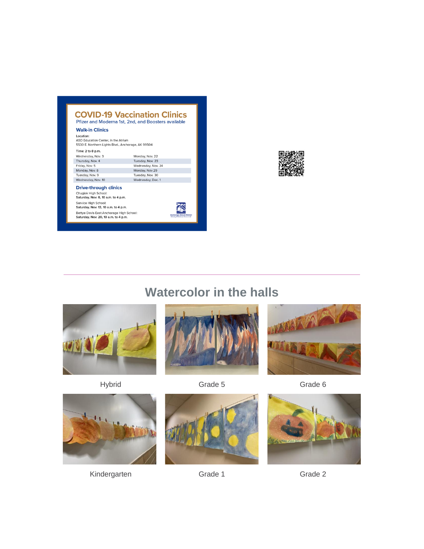|                                                                                                        | <b>COVID-19 Vaccination Clinics</b><br>Pfizer and Moderna 1st, 2nd, and Boosters available |
|--------------------------------------------------------------------------------------------------------|--------------------------------------------------------------------------------------------|
| <b>Walk-in Clinics</b>                                                                                 |                                                                                            |
| Location:<br>ASD Education Center, in the Atrium<br>5530 E. Northern Lights Blvd., Anchorage, AK 99504 |                                                                                            |
| Time: 2 to 8 p.m.                                                                                      |                                                                                            |
| Wednesday, Nov. 3                                                                                      | Monday, Nov. 22                                                                            |
| Thursday, Nov. 4                                                                                       | Tuesday, Nov. 23                                                                           |
| Friday, Nov. 5                                                                                         | Wednesday, Nov. 24                                                                         |
| Monday, Nov. 8                                                                                         | Monday, Nov 29                                                                             |
| Tuesday, Nov. 9                                                                                        | Tuesday, Nov. 30                                                                           |
| Wednesday, Nov. 10                                                                                     | Wednesday, Dec. 1                                                                          |
| <b>Drive-through clinics</b><br>Chugiak High School:<br>Saturday, Nov. 6, 10 a.m. to 4 p.m.            |                                                                                            |
| Service High School:<br>Saturday, Nov. 13, 10 a.m. to 4 p.m.                                           |                                                                                            |
| Bettye Davis East Anchorage High School:<br>Saturday, Nov. 20, 10 a.m. to 4 p.m.                       | <b>Anchorage School District</b><br>Education All Students for Success in Leb              |



# **Watercolor in the halls**











Kindergarten Grade 1 Grade 1 Grade 2



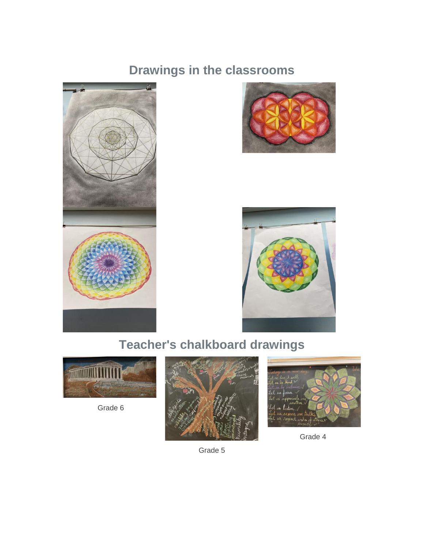## **Drawings in the classrooms**







# **Teacher's chalkboard drawings**



Grade 6





Grade 4

Grade 5